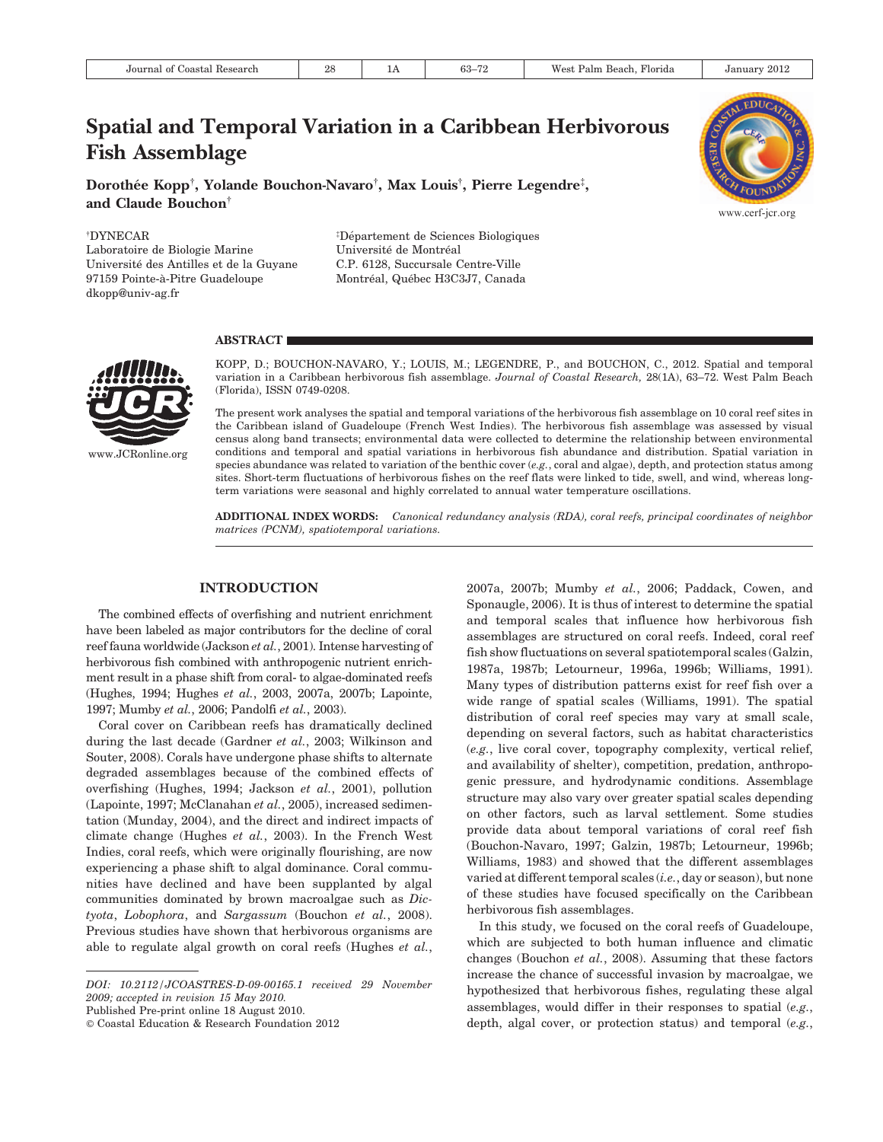# Spatial and Temporal Variation in a Caribbean Herbivorous Fish Assemblage

Dorothée Kopp†, Yolande Bouchon-Navaro†, Max Louis†, Pierre Legendre‡, and Claude Bouchon<sup>†</sup>

{ DYNECAR

Laboratoire de Biologie Marine Université des Antilles et de la Guyane 97159 Pointe-a`-Pitre Guadeloupe dkopp@univ-ag.fr

<sup>‡</sup>Département de Sciences Biologiques Université de Montréal C.P. 6128, Succursale Centre-Ville Montréal, Québec H3C3J7, Canada

#### **ABSTRACT**



KOPP, D.; BOUCHON-NAVARO, Y.; LOUIS, M.; LEGENDRE, P., and BOUCHON, C., 2012. Spatial and temporal variation in a Caribbean herbivorous fish assemblage. Journal of Coastal Research, 28(1A), 63–72. West Palm Beach (Florida), ISSN 0749-0208.

The present work analyses the spatial and temporal variations of the herbivorous fish assemblage on 10 coral reef sites in the Caribbean island of Guadeloupe (French West Indies). The herbivorous fish assemblage was assessed by visual census along band transects; environmental data were collected to determine the relationship between environmental conditions and temporal and spatial variations in herbivorous fish abundance and distribution. Spatial variation in species abundance was related to variation of the benthic cover  $(e.g., \text{cord} \text{ and } \text{algae})$ , depth, and protection status among sites. Short-term fluctuations of herbivorous fishes on the reef flats were linked to tide, swell, and wind, whereas longterm variations were seasonal and highly correlated to annual water temperature oscillations.

ADDITIONAL INDEX WORDS: Canonical redundancy analysis (RDA), coral reefs, principal coordinates of neighbor matrices (PCNM), spatiotemporal variations.

# INTRODUCTION

The combined effects of overfishing and nutrient enrichment have been labeled as major contributors for the decline of coral reef fauna worldwide (Jackson et al., 2001). Intense harvesting of herbivorous fish combined with anthropogenic nutrient enrichment result in a phase shift from coral- to algae-dominated reefs (Hughes, 1994; Hughes et al., 2003, 2007a, 2007b; Lapointe, 1997; Mumby et al., 2006; Pandolfi et al., 2003).

Coral cover on Caribbean reefs has dramatically declined during the last decade (Gardner et al., 2003; Wilkinson and Souter, 2008). Corals have undergone phase shifts to alternate degraded assemblages because of the combined effects of overfishing (Hughes, 1994; Jackson et al., 2001), pollution (Lapointe, 1997; McClanahan et al., 2005), increased sedimentation (Munday, 2004), and the direct and indirect impacts of climate change (Hughes *et al.*, 2003). In the French West Indies, coral reefs, which were originally flourishing, are now experiencing a phase shift to algal dominance. Coral communities have declined and have been supplanted by algal communities dominated by brown macroalgae such as Dictyota, Lobophora, and Sargassum (Bouchon et al., 2008). Previous studies have shown that herbivorous organisms are able to regulate algal growth on coral reefs (Hughes et al.,

Published Pre-print online 18 August 2010.

' Coastal Education & Research Foundation 2012

2007a, 2007b; Mumby et al., 2006; Paddack, Cowen, and Sponaugle, 2006). It is thus of interest to determine the spatial and temporal scales that influence how herbivorous fish assemblages are structured on coral reefs. Indeed, coral reef fish show fluctuations on several spatiotemporal scales (Galzin, 1987a, 1987b; Letourneur, 1996a, 1996b; Williams, 1991). Many types of distribution patterns exist for reef fish over a wide range of spatial scales (Williams, 1991). The spatial distribution of coral reef species may vary at small scale, depending on several factors, such as habitat characteristics (e.g., live coral cover, topography complexity, vertical relief, and availability of shelter), competition, predation, anthropogenic pressure, and hydrodynamic conditions. Assemblage structure may also vary over greater spatial scales depending on other factors, such as larval settlement. Some studies provide data about temporal variations of coral reef fish (Bouchon-Navaro, 1997; Galzin, 1987b; Letourneur, 1996b; Williams, 1983) and showed that the different assemblages varied at different temporal scales (i.e., day or season), but none of these studies have focused specifically on the Caribbean herbivorous fish assemblages.

In this study, we focused on the coral reefs of Guadeloupe, which are subjected to both human influence and climatic changes (Bouchon et al., 2008). Assuming that these factors increase the chance of successful invasion by macroalgae, we hypothesized that herbivorous fishes, regulating these algal assemblages, would differ in their responses to spatial (e.g., depth, algal cover, or protection status) and temporal (e.g.,



DOI: 10.2112/JCOASTRES-D-09-00165.1 received 29 November 2009; accepted in revision 15 May 2010.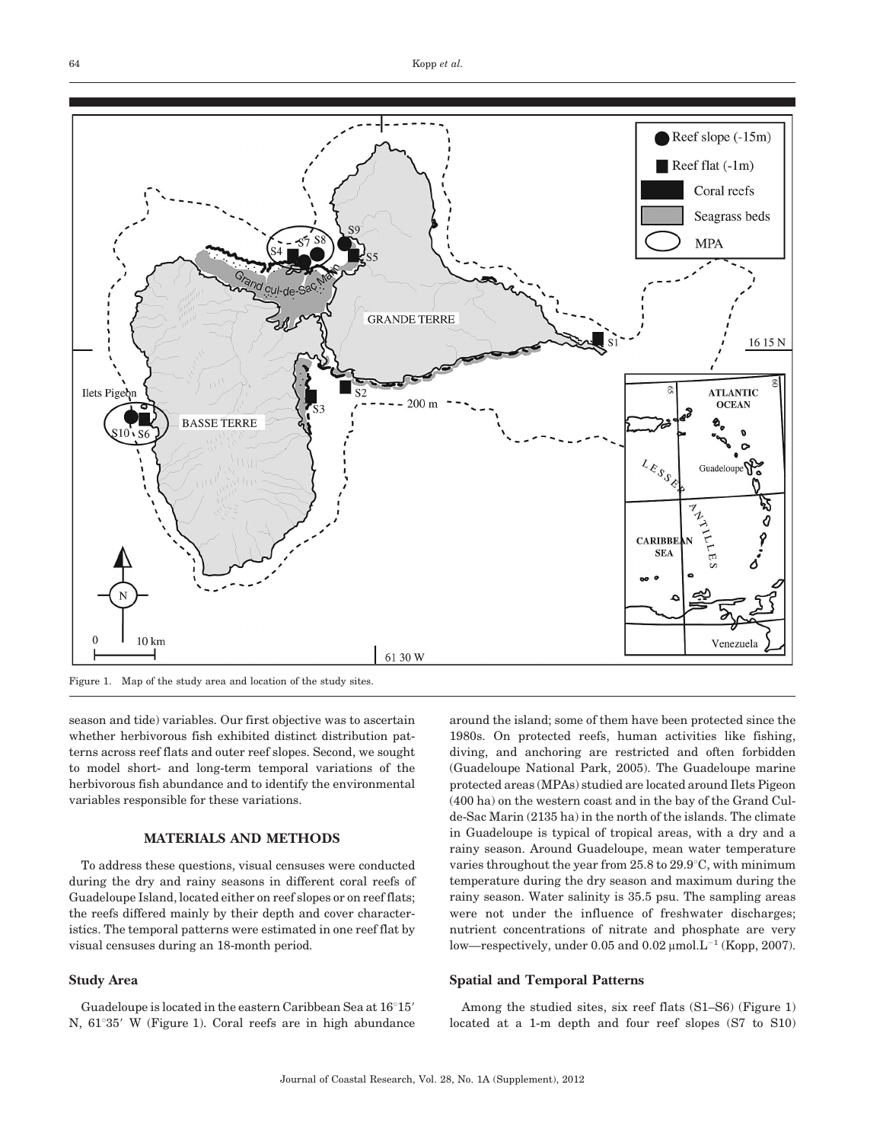

Figure 1. Map of the study area and location of the study sites.

season and tide) variables. Our first objective was to ascertain whether herbivorous fish exhibited distinct distribution patterns across reef flats and outer reef slopes. Second, we sought to model short- and long-term temporal variations of the herbivorous fish abundance and to identify the environmental variables responsible for these variations.

#### MATERIALS AND METHODS

To address these questions, visual censuses were conducted during the dry and rainy seasons in different coral reefs of Guadeloupe Island, located either on reef slopes or on reef flats; the reefs differed mainly by their depth and cover characteristics. The temporal patterns were estimated in one reef flat by visual censuses during an 18-month period.

#### Study Area

Guadeloupe is located in the eastern Caribbean Sea at  $16^{\circ}15'$ N,  $61^{\circ}35'$  W (Figure 1). Coral reefs are in high abundance

around the island; some of them have been protected since the 1980s. On protected reefs, human activities like fishing, diving, and anchoring are restricted and often forbidden (Guadeloupe National Park, 2005). The Guadeloupe marine protected areas (MPAs) studied are located around Ilets Pigeon (400 ha) on the western coast and in the bay of the Grand Culde-Sac Marin (2135 ha) in the north of the islands. The climate in Guadeloupe is typical of tropical areas, with a dry and a rainy season. Around Guadeloupe, mean water temperature varies throughout the year from  $25.8$  to  $29.9^{\circ}$ C, with minimum temperature during the dry season and maximum during the rainy season. Water salinity is 35.5 psu. The sampling areas were not under the influence of freshwater discharges; nutrient concentrations of nitrate and phosphate are very low—respectively, under 0.05 and 0.02  $\mu$ mol. $L^{-1}$  (Kopp, 2007).

#### Spatial and Temporal Patterns

Among the studied sites, six reef flats (S1–S6) (Figure 1) located at a 1-m depth and four reef slopes (S7 to S10)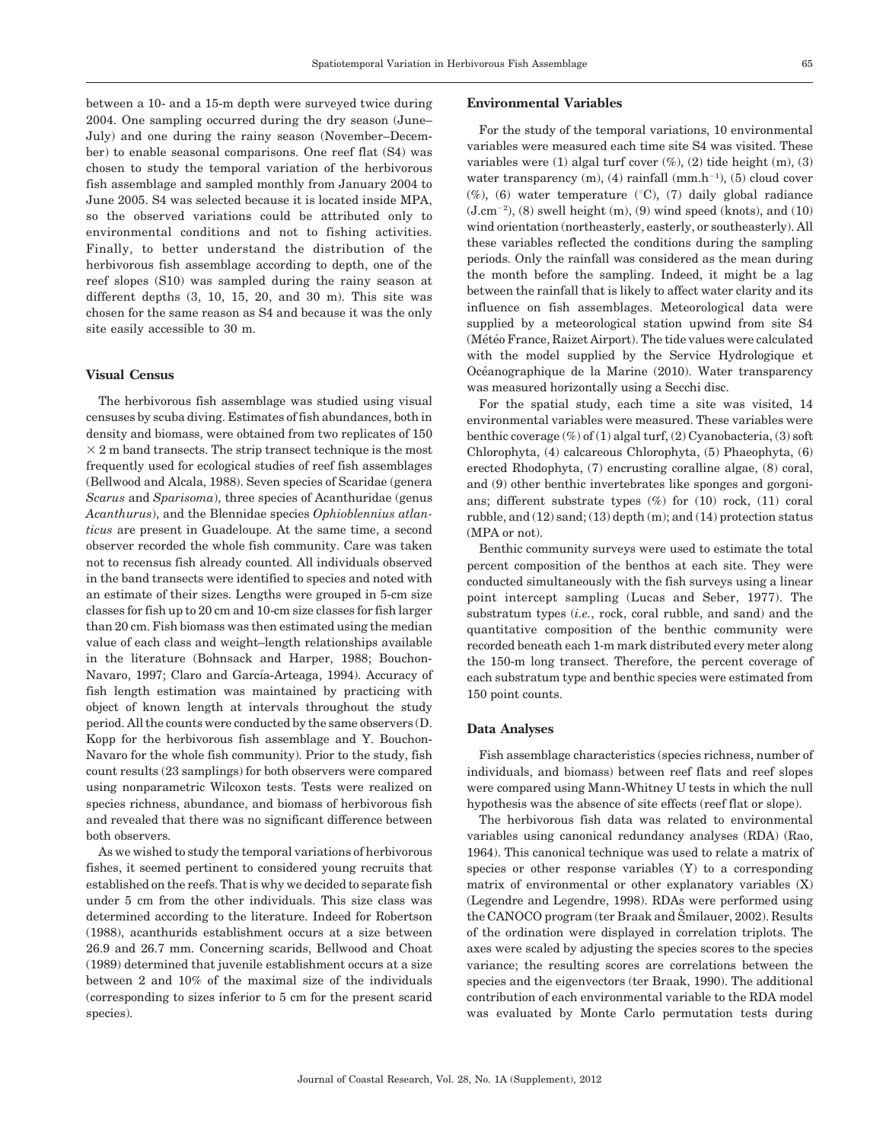between a 10- and a 15-m depth were surveyed twice during 2004. One sampling occurred during the dry season (June– July) and one during the rainy season (November–December) to enable seasonal comparisons. One reef flat (S4) was chosen to study the temporal variation of the herbivorous fish assemblage and sampled monthly from January 2004 to June 2005. S4 was selected because it is located inside MPA, so the observed variations could be attributed only to environmental conditions and not to fishing activities. Finally, to better understand the distribution of the herbivorous fish assemblage according to depth, one of the reef slopes (S10) was sampled during the rainy season at different depths  $(3, 10, 15, 20,$  and  $30$  m). This site was chosen for the same reason as S4 and because it was the only site easily accessible to 30 m.

#### Visual Census

The herbivorous fish assemblage was studied using visual censuses by scuba diving. Estimates of fish abundances, both in density and biomass, were obtained from two replicates of 150  $\times$  2 m band transects. The strip transect technique is the most frequently used for ecological studies of reef fish assemblages (Bellwood and Alcala, 1988). Seven species of Scaridae (genera Scarus and Sparisoma), three species of Acanthuridae (genus Acanthurus), and the Blennidae species Ophioblennius atlanticus are present in Guadeloupe. At the same time, a second observer recorded the whole fish community. Care was taken not to recensus fish already counted. All individuals observed in the band transects were identified to species and noted with an estimate of their sizes. Lengths were grouped in 5-cm size classes for fish up to 20 cm and 10-cm size classes for fish larger than 20 cm. Fish biomass was then estimated using the median value of each class and weight–length relationships available in the literature (Bohnsack and Harper, 1988; Bouchon-Navaro, 1997; Claro and García-Arteaga, 1994). Accuracy of fish length estimation was maintained by practicing with object of known length at intervals throughout the study period. All the counts were conducted by the same observers (D. Kopp for the herbivorous fish assemblage and Y. Bouchon-Navaro for the whole fish community). Prior to the study, fish count results (23 samplings) for both observers were compared using nonparametric Wilcoxon tests. Tests were realized on species richness, abundance, and biomass of herbivorous fish and revealed that there was no significant difference between both observers.

As we wished to study the temporal variations of herbivorous fishes, it seemed pertinent to considered young recruits that established on the reefs. That is why we decided to separate fish under 5 cm from the other individuals. This size class was determined according to the literature. Indeed for Robertson (1988), acanthurids establishment occurs at a size between 26.9 and 26.7 mm. Concerning scarids, Bellwood and Choat (1989) determined that juvenile establishment occurs at a size between 2 and 10% of the maximal size of the individuals (corresponding to sizes inferior to 5 cm for the present scarid species).

# Environmental Variables

For the study of the temporal variations, 10 environmental variables were measured each time site S4 was visited. These variables were  $(1)$  algal turf cover  $(\%)$ ,  $(2)$  tide height  $(m)$ ,  $(3)$ water transparency  $(m)$ ,  $(4)$  rainfall  $(mm.h^{-1})$ ,  $(5)$  cloud cover  $(\%)$ , (6) water temperature (°C), (7) daily global radiance  $(J.cm^{-2})$ ,  $(8)$  swell height  $(m)$ ,  $(9)$  wind speed (knots), and  $(10)$ wind orientation (northeasterly, easterly, or southeasterly). All these variables reflected the conditions during the sampling periods. Only the rainfall was considered as the mean during the month before the sampling. Indeed, it might be a lag between the rainfall that is likely to affect water clarity and its influence on fish assemblages. Meteorological data were supplied by a meteorological station upwind from site S4 (Météo France, Raizet Airport). The tide values were calculated with the model supplied by the Service Hydrologique et Océanographique de la Marine (2010). Water transparency was measured horizontally using a Secchi disc.

For the spatial study, each time a site was visited, 14 environmental variables were measured. These variables were benthic coverage (%) of (1) algal turf, (2) Cyanobacteria, (3) soft Chlorophyta, (4) calcareous Chlorophyta, (5) Phaeophyta, (6) erected Rhodophyta, (7) encrusting coralline algae, (8) coral, and (9) other benthic invertebrates like sponges and gorgonians; different substrate types (%) for (10) rock, (11) coral rubble, and (12) sand; (13) depth (m); and (14) protection status (MPA or not).

Benthic community surveys were used to estimate the total percent composition of the benthos at each site. They were conducted simultaneously with the fish surveys using a linear point intercept sampling (Lucas and Seber, 1977). The substratum types  $(i.e., rock, coral rubble, and sand)$  and the quantitative composition of the benthic community were recorded beneath each 1-m mark distributed every meter along the 150-m long transect. Therefore, the percent coverage of each substratum type and benthic species were estimated from 150 point counts.

#### Data Analyses

Fish assemblage characteristics (species richness, number of individuals, and biomass) between reef flats and reef slopes were compared using Mann-Whitney U tests in which the null hypothesis was the absence of site effects (reef flat or slope).

The herbivorous fish data was related to environmental variables using canonical redundancy analyses (RDA) (Rao, 1964). This canonical technique was used to relate a matrix of species or other response variables (Y) to a corresponding matrix of environmental or other explanatory variables (X) (Legendre and Legendre, 1998). RDAs were performed using the CANOCO program (ter Braak and Smilauer, 2002). Results of the ordination were displayed in correlation triplots. The axes were scaled by adjusting the species scores to the species variance; the resulting scores are correlations between the species and the eigenvectors (ter Braak, 1990). The additional contribution of each environmental variable to the RDA model was evaluated by Monte Carlo permutation tests during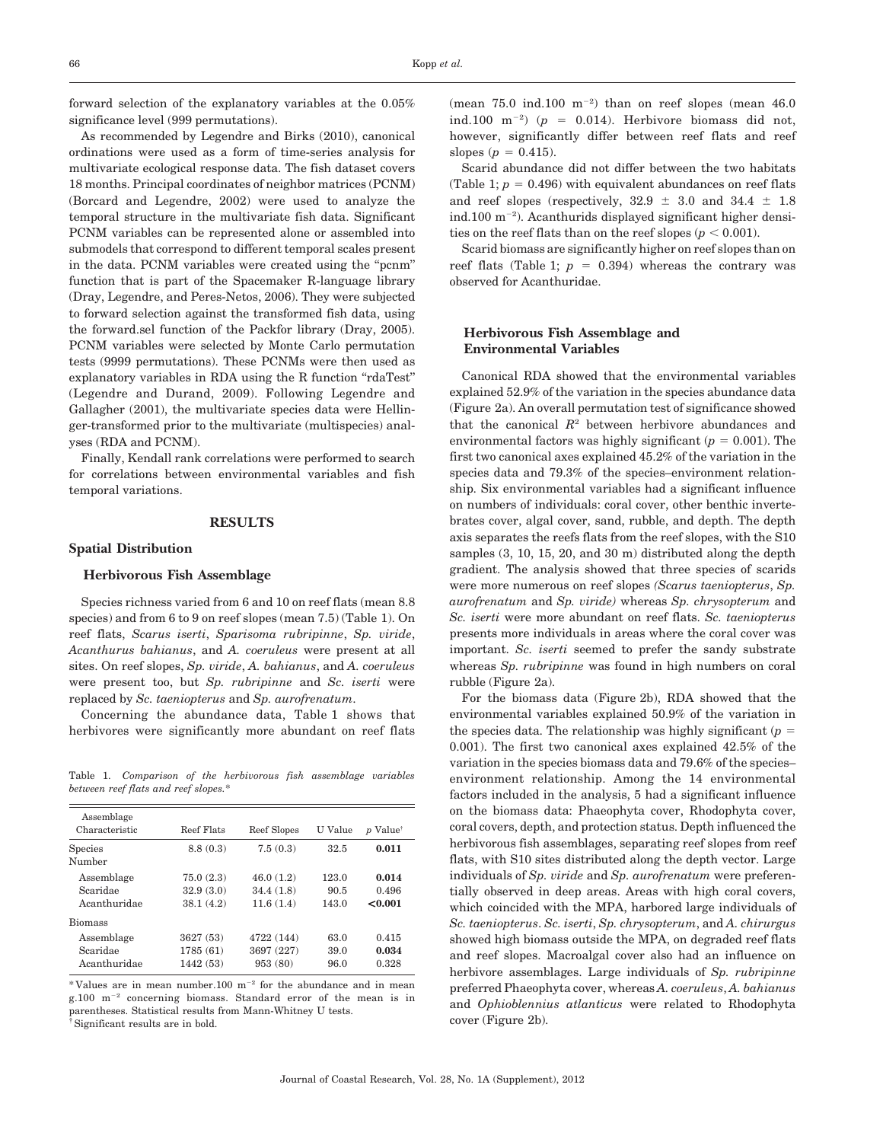forward selection of the explanatory variables at the 0.05% significance level (999 permutations).

As recommended by Legendre and Birks (2010), canonical ordinations were used as a form of time-series analysis for multivariate ecological response data. The fish dataset covers 18 months. Principal coordinates of neighbor matrices (PCNM) (Borcard and Legendre, 2002) were used to analyze the temporal structure in the multivariate fish data. Significant PCNM variables can be represented alone or assembled into submodels that correspond to different temporal scales present in the data. PCNM variables were created using the ''pcnm'' function that is part of the Spacemaker R-language library (Dray, Legendre, and Peres-Netos, 2006). They were subjected to forward selection against the transformed fish data, using the forward.sel function of the Packfor library (Dray, 2005). PCNM variables were selected by Monte Carlo permutation tests (9999 permutations). These PCNMs were then used as explanatory variables in RDA using the R function "rdaTest" (Legendre and Durand, 2009). Following Legendre and Gallagher (2001), the multivariate species data were Hellinger-transformed prior to the multivariate (multispecies) analyses (RDA and PCNM).

Finally, Kendall rank correlations were performed to search for correlations between environmental variables and fish temporal variations.

# **RESULTS**

#### Spatial Distribution

#### Herbivorous Fish Assemblage

Species richness varied from 6 and 10 on reef flats (mean 8.8 species) and from 6 to 9 on reef slopes (mean 7.5) (Table 1). On reef flats, Scarus iserti, Sparisoma rubripinne, Sp. viride, Acanthurus bahianus, and A. coeruleus were present at all sites. On reef slopes, Sp. viride, A. bahianus, and A. coeruleus were present too, but Sp. rubripinne and Sc. iserti were replaced by Sc. taeniopterus and Sp. aurofrenatum.

Concerning the abundance data, Table 1 shows that herbivores were significantly more abundant on reef flats

Table 1. Comparison of the herbivorous fish assemblage variables between reef flats and reef slopes.\*

| Assemblage<br>Characteristic           | Reef Flats                          | Reef Slopes                         | U Value                | $p$ Value <sup>†</sup>    |
|----------------------------------------|-------------------------------------|-------------------------------------|------------------------|---------------------------|
| <b>Species</b><br>Number               | 8.8(0.3)                            | 7.5(0.3)                            | 32.5                   | 0.011                     |
| Assemblage<br>Scaridae<br>Acanthuridae | 75.0(2.3)<br>32.9(3.0)<br>38.1(4.2) | 46.0(1.2)<br>34.4(1.8)<br>11.6(1.4) | 123.0<br>90.5<br>143.0 | 0.014<br>0.496<br>< 0.001 |
| <b>Biomass</b>                         |                                     |                                     |                        |                           |
| Assemblage<br>Scaridae<br>Acanthuridae | 3627 (53)<br>1785 (61)<br>1442 (53) | 4722 (144)<br>3697 (227)<br>953(80) | 63.0<br>39.0<br>96.0   | 0.415<br>0.034<br>0.328   |

 $*$  Values are in mean number.100 m<sup>-2</sup> for the abundance and in mean  $g.100$  m<sup>-2</sup> concerning biomass. Standard error of the mean is in parentheses. Statistical results from Mann-Whitney U tests. {Significant results are in bold.

(mean  $75.0$  ind.100 m<sup>-2</sup>) than on reef slopes (mean  $46.0$ ind.100 m<sup>-2</sup>) ( $p = 0.014$ ). Herbivore biomass did not, however, significantly differ between reef flats and reef slopes ( $p = 0.415$ ).

Scarid abundance did not differ between the two habitats (Table 1;  $p = 0.496$ ) with equivalent abundances on reef flats and reef slopes (respectively,  $32.9 \pm 3.0$  and  $34.4 \pm 1.8$  $ind.100 \text{ m}^{-2}$ ). Acanthurids displayed significant higher densities on the reef flats than on the reef slopes ( $p < 0.001$ ).

Scarid biomass are significantly higher on reef slopes than on reef flats (Table 1;  $p = 0.394$ ) whereas the contrary was observed for Acanthuridae.

#### Herbivorous Fish Assemblage and Environmental Variables

Canonical RDA showed that the environmental variables explained 52.9% of the variation in the species abundance data (Figure 2a). An overall permutation test of significance showed that the canonical  $R^2$  between herbivore abundances and environmental factors was highly significant ( $p = 0.001$ ). The first two canonical axes explained 45.2% of the variation in the species data and 79.3% of the species–environment relationship. Six environmental variables had a significant influence on numbers of individuals: coral cover, other benthic invertebrates cover, algal cover, sand, rubble, and depth. The depth axis separates the reefs flats from the reef slopes, with the S10 samples (3, 10, 15, 20, and 30 m) distributed along the depth gradient. The analysis showed that three species of scarids were more numerous on reef slopes (Scarus taeniopterus, Sp. aurofrenatum and Sp. viride) whereas Sp. chrysopterum and Sc. iserti were more abundant on reef flats. Sc. taeniopterus presents more individuals in areas where the coral cover was important. Sc. iserti seemed to prefer the sandy substrate whereas Sp. *rubripinne* was found in high numbers on coral rubble (Figure 2a).

For the biomass data (Figure 2b), RDA showed that the environmental variables explained 50.9% of the variation in the species data. The relationship was highly significant  $(p =$ 0.001). The first two canonical axes explained 42.5% of the variation in the species biomass data and 79.6% of the species– environment relationship. Among the 14 environmental factors included in the analysis, 5 had a significant influence on the biomass data: Phaeophyta cover, Rhodophyta cover, coral covers, depth, and protection status. Depth influenced the herbivorous fish assemblages, separating reef slopes from reef flats, with S10 sites distributed along the depth vector. Large individuals of Sp. viride and Sp. aurofrenatum were preferentially observed in deep areas. Areas with high coral covers, which coincided with the MPA, harbored large individuals of Sc. taeniopterus. Sc. iserti, Sp. chrysopterum, and A. chirurgus showed high biomass outside the MPA, on degraded reef flats and reef slopes. Macroalgal cover also had an influence on herbivore assemblages. Large individuals of Sp. rubripinne preferred Phaeophyta cover, whereas A. coeruleus, A. bahianus and Ophioblennius atlanticus were related to Rhodophyta cover (Figure 2b).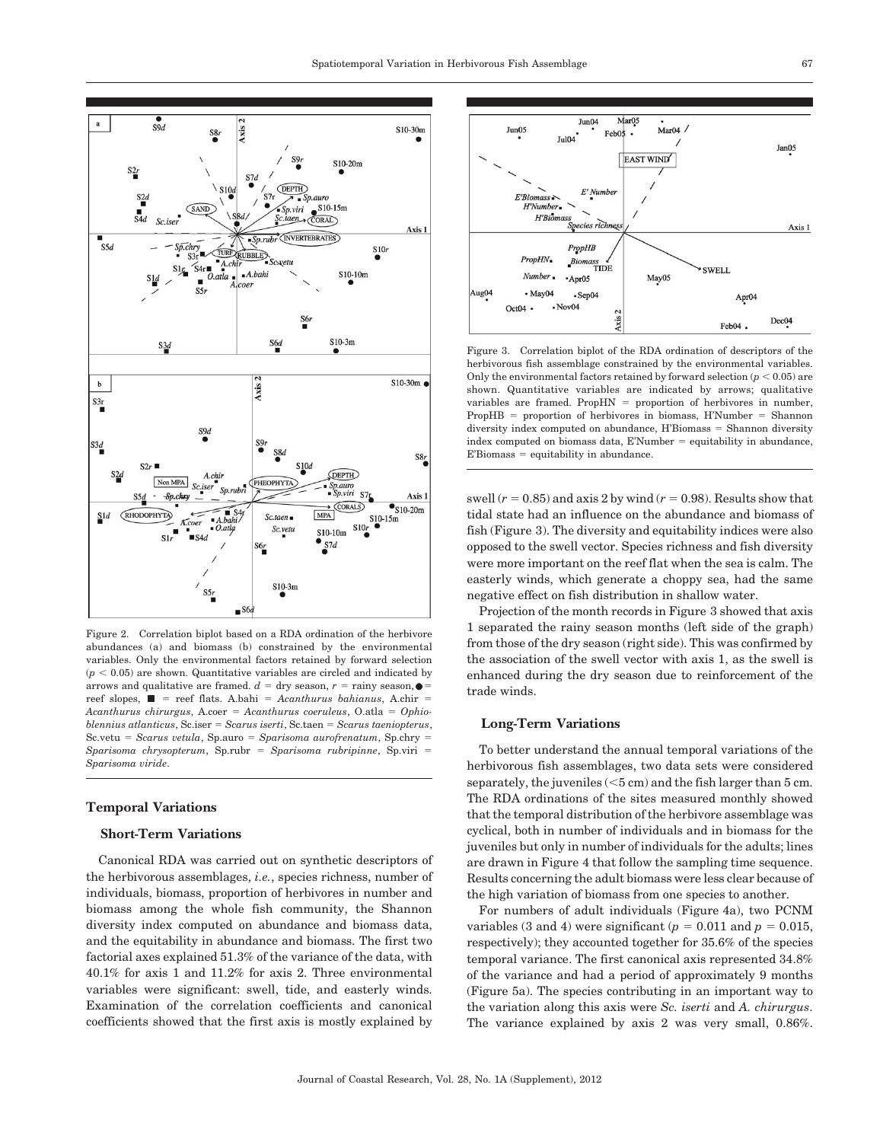

Figure 2. Correlation biplot based on a RDA ordination of the herbivore abundances (a) and biomass (b) constrained by the environmental variables. Only the environmental factors retained by forward selection  $(p < 0.05)$  are shown. Quantitative variables are circled and indicated by arrows and qualitative are framed.  $d = \text{dry season}, r = \text{rainy season}, \bullet =$ reef slopes,  $\blacksquare$  = reef flats. A.bahi = Acanthurus bahianus, A.chir = Acanthurus chirurgus, A.coer = Acanthurus coeruleus, O.atla = Ophio $blennius$  atlanticus, Sc.iser = Scarus iserti, Sc.taen = Scarus taeniopterus,  $Sc.$ vetu =  $Scarus$  vetula, Sp.auro =  $Sparisoma$  aurofrenatum, Sp.chry =  $Sparisoma chrysopterum, Sp.rubr = Sparisoma rubripinne, Sp.viri =$ Sparisoma viride.

#### Temporal Variations

## Short-Term Variations

Canonical RDA was carried out on synthetic descriptors of the herbivorous assemblages, i.e., species richness, number of individuals, biomass, proportion of herbivores in number and biomass among the whole fish community, the Shannon diversity index computed on abundance and biomass data, and the equitability in abundance and biomass. The first two factorial axes explained 51.3% of the variance of the data, with 40.1% for axis 1 and 11.2% for axis 2. Three environmental variables were significant: swell, tide, and easterly winds. Examination of the correlation coefficients and canonical coefficients showed that the first axis is mostly explained by



Figure 3. Correlation biplot of the RDA ordination of descriptors of the herbivorous fish assemblage constrained by the environmental variables. Only the environmental factors retained by forward selection  $(p < 0.05)$  are shown. Quantitative variables are indicated by arrows; qualitative variables are framed. Prop $HN = proportion of herbivores in number$ ,  $PropHB = proportion of herbivores in biomass, H'Number = Shannon$ diversity index computed on abundance, H'Biomass = Shannon diversity index computed on biomass data,  $E'Number = \alpha$  equitability in abundance  $E'Biomass =$  equitability in abundance.

swell  $(r = 0.85)$  and axis 2 by wind  $(r = 0.98)$ . Results show that tidal state had an influence on the abundance and biomass of fish (Figure 3). The diversity and equitability indices were also opposed to the swell vector. Species richness and fish diversity were more important on the reef flat when the sea is calm. The easterly winds, which generate a choppy sea, had the same negative effect on fish distribution in shallow water.

Projection of the month records in Figure 3 showed that axis 1 separated the rainy season months (left side of the graph) from those of the dry season (right side). This was confirmed by the association of the swell vector with axis 1, as the swell is enhanced during the dry season due to reinforcement of the trade winds.

## Long-Term Variations

To better understand the annual temporal variations of the herbivorous fish assemblages, two data sets were considered separately, the juveniles  $(<5 \text{ cm})$  and the fish larger than  $5 \text{ cm}$ . The RDA ordinations of the sites measured monthly showed that the temporal distribution of the herbivore assemblage was cyclical, both in number of individuals and in biomass for the juveniles but only in number of individuals for the adults; lines are drawn in Figure 4 that follow the sampling time sequence. Results concerning the adult biomass were less clear because of the high variation of biomass from one species to another.

For numbers of adult individuals (Figure 4a), two PCNM variables (3 and 4) were significant ( $p = 0.011$  and  $p = 0.015$ , respectively); they accounted together for 35.6% of the species temporal variance. The first canonical axis represented 34.8% of the variance and had a period of approximately 9 months (Figure 5a). The species contributing in an important way to the variation along this axis were Sc. iserti and A. chirurgus. The variance explained by axis 2 was very small, 0.86%.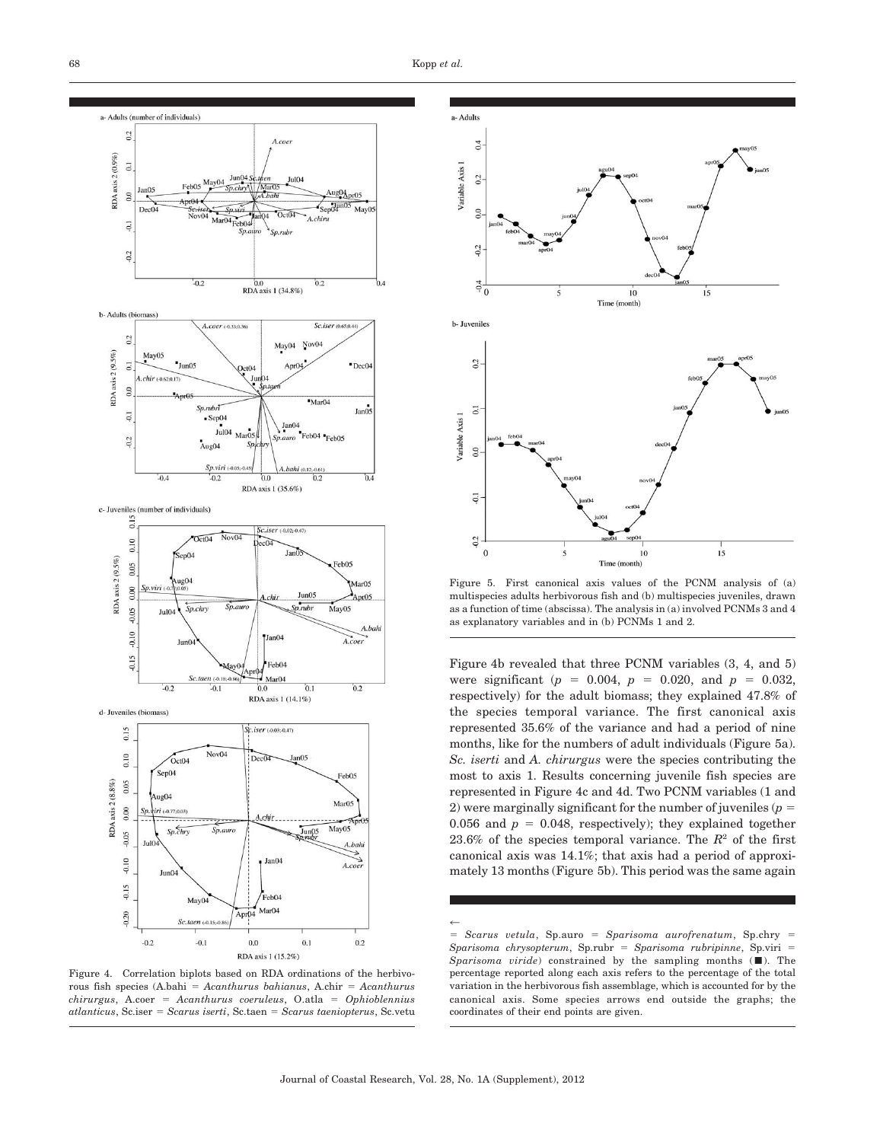





Figure 5. First canonical axis values of the PCNM analysis of (a) multispecies adults herbivorous fish and (b) multispecies juveniles, drawn as a function of time (abscissa). The analysis in (a) involved PCNMs 3 and 4 as explanatory variables and in (b) PCNMs 1 and 2.

Figure 4b revealed that three PCNM variables (3, 4, and 5) were significant ( $p = 0.004$ ,  $p = 0.020$ , and  $p = 0.032$ , respectively) for the adult biomass; they explained 47.8% of the species temporal variance. The first canonical axis represented 35.6% of the variance and had a period of nine months, like for the numbers of adult individuals (Figure 5a). Sc. iserti and A. chirurgus were the species contributing the most to axis 1. Results concerning juvenile fish species are represented in Figure 4c and 4d. Two PCNM variables (1 and 2) were marginally significant for the number of juveniles ( $p =$ 0.056 and  $p = 0.048$ , respectively); they explained together 23.6% of the species temporal variance. The  $R^2$  of the first canonical axis was 14.1%; that axis had a period of approximately 13 months (Figure 5b). This period was the same again

 $\leftarrow$  $=$  Scarus vetula, Sp.auro  $=$  Sparisoma aurofrenatum, Sp.chry  $=$ Sparisoma chrysopterum, Sp.rubr = Sparisoma rubripinne, Sp.viri = Sparisoma viride) constrained by the sampling months  $(\blacksquare)$ . The percentage reported along each axis refers to the percentage of the total variation in the herbivorous fish assemblage, which is accounted for by the canonical axis. Some species arrows end outside the graphs; the coordinates of their end points are given.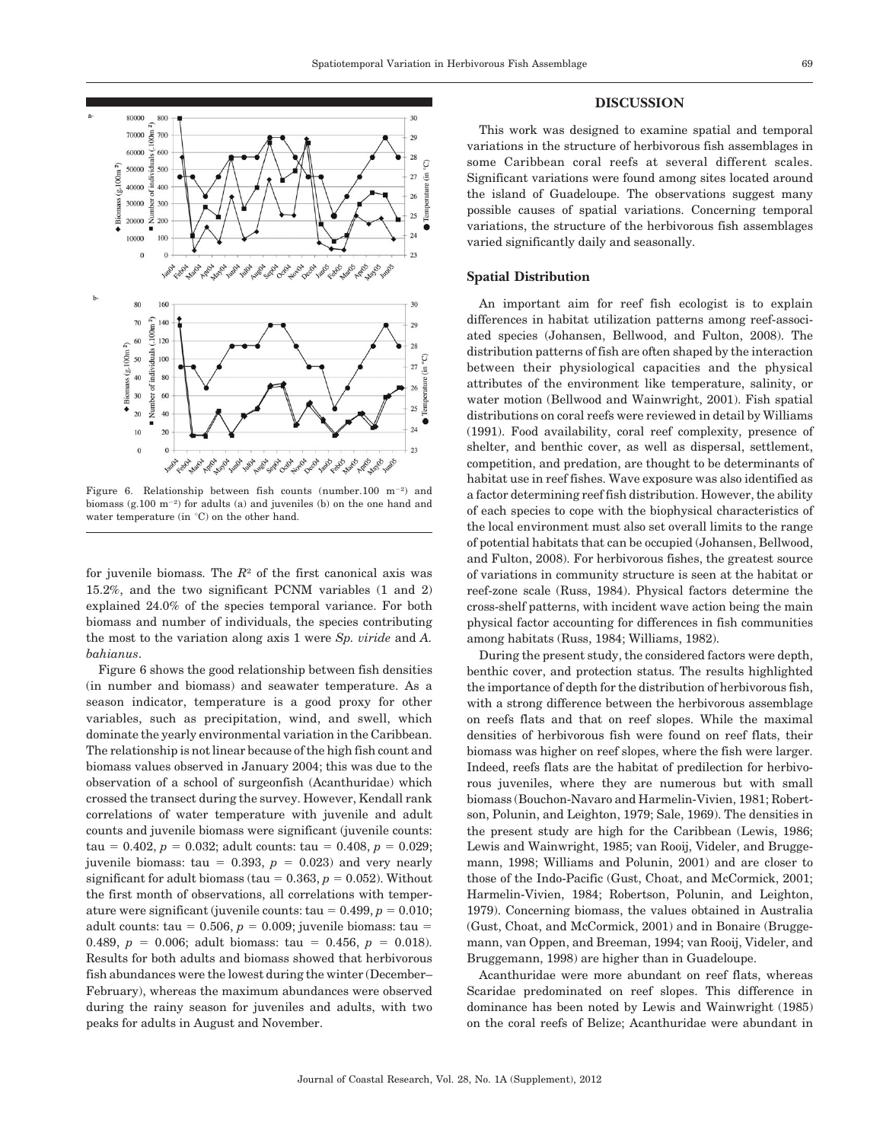

Figure 6. Relationship between fish counts (number.100  $m^{-2}$ ) and biomass  $(g.100 \text{ m}^{-2})$  for adults (a) and juveniles (b) on the one hand and water temperature (in °C) on the other hand.

for juvenile biomass. The  $R<sup>2</sup>$  of the first canonical axis was 15.2%, and the two significant PCNM variables (1 and 2) explained 24.0% of the species temporal variance. For both biomass and number of individuals, the species contributing the most to the variation along axis 1 were Sp. viride and A. bahianus.

Figure 6 shows the good relationship between fish densities (in number and biomass) and seawater temperature. As a season indicator, temperature is a good proxy for other variables, such as precipitation, wind, and swell, which dominate the yearly environmental variation in the Caribbean. The relationship is not linear because of the high fish count and biomass values observed in January 2004; this was due to the observation of a school of surgeonfish (Acanthuridae) which crossed the transect during the survey. However, Kendall rank correlations of water temperature with juvenile and adult counts and juvenile biomass were significant (juvenile counts: tau = 0.402,  $p = 0.032$ ; adult counts: tau = 0.408,  $p = 0.029$ ; juvenile biomass: tau = 0.393,  $p = 0.023$ ) and very nearly significant for adult biomass (tau =  $0.363$ ,  $p = 0.052$ ). Without the first month of observations, all correlations with temperature were significant (juvenile counts: tau =  $0.499, p = 0.010;$ adult counts: tau =  $0.506$ ,  $p = 0.009$ ; juvenile biomass: tau = 0.489,  $p = 0.006$ ; adult biomass: tau = 0.456,  $p = 0.018$ ). Results for both adults and biomass showed that herbivorous fish abundances were the lowest during the winter (December– February), whereas the maximum abundances were observed during the rainy season for juveniles and adults, with two peaks for adults in August and November.

## DISCUSSION

This work was designed to examine spatial and temporal variations in the structure of herbivorous fish assemblages in some Caribbean coral reefs at several different scales. Significant variations were found among sites located around the island of Guadeloupe. The observations suggest many possible causes of spatial variations. Concerning temporal variations, the structure of the herbivorous fish assemblages varied significantly daily and seasonally.

#### Spatial Distribution

An important aim for reef fish ecologist is to explain differences in habitat utilization patterns among reef-associated species (Johansen, Bellwood, and Fulton, 2008). The distribution patterns of fish are often shaped by the interaction between their physiological capacities and the physical attributes of the environment like temperature, salinity, or water motion (Bellwood and Wainwright, 2001). Fish spatial distributions on coral reefs were reviewed in detail by Williams (1991). Food availability, coral reef complexity, presence of shelter, and benthic cover, as well as dispersal, settlement, competition, and predation, are thought to be determinants of habitat use in reef fishes. Wave exposure was also identified as a factor determining reef fish distribution. However, the ability of each species to cope with the biophysical characteristics of the local environment must also set overall limits to the range of potential habitats that can be occupied (Johansen, Bellwood, and Fulton, 2008). For herbivorous fishes, the greatest source of variations in community structure is seen at the habitat or reef-zone scale (Russ, 1984). Physical factors determine the cross-shelf patterns, with incident wave action being the main physical factor accounting for differences in fish communities among habitats (Russ, 1984; Williams, 1982).

During the present study, the considered factors were depth, benthic cover, and protection status. The results highlighted the importance of depth for the distribution of herbivorous fish, with a strong difference between the herbivorous assemblage on reefs flats and that on reef slopes. While the maximal densities of herbivorous fish were found on reef flats, their biomass was higher on reef slopes, where the fish were larger. Indeed, reefs flats are the habitat of predilection for herbivorous juveniles, where they are numerous but with small biomass (Bouchon-Navaro and Harmelin-Vivien, 1981; Robertson, Polunin, and Leighton, 1979; Sale, 1969). The densities in the present study are high for the Caribbean (Lewis, 1986; Lewis and Wainwright, 1985; van Rooij, Videler, and Bruggemann, 1998; Williams and Polunin, 2001) and are closer to those of the Indo-Pacific (Gust, Choat, and McCormick, 2001; Harmelin-Vivien, 1984; Robertson, Polunin, and Leighton, 1979). Concerning biomass, the values obtained in Australia (Gust, Choat, and McCormick, 2001) and in Bonaire (Bruggemann, van Oppen, and Breeman, 1994; van Rooij, Videler, and Bruggemann, 1998) are higher than in Guadeloupe.

Acanthuridae were more abundant on reef flats, whereas Scaridae predominated on reef slopes. This difference in dominance has been noted by Lewis and Wainwright (1985) on the coral reefs of Belize; Acanthuridae were abundant in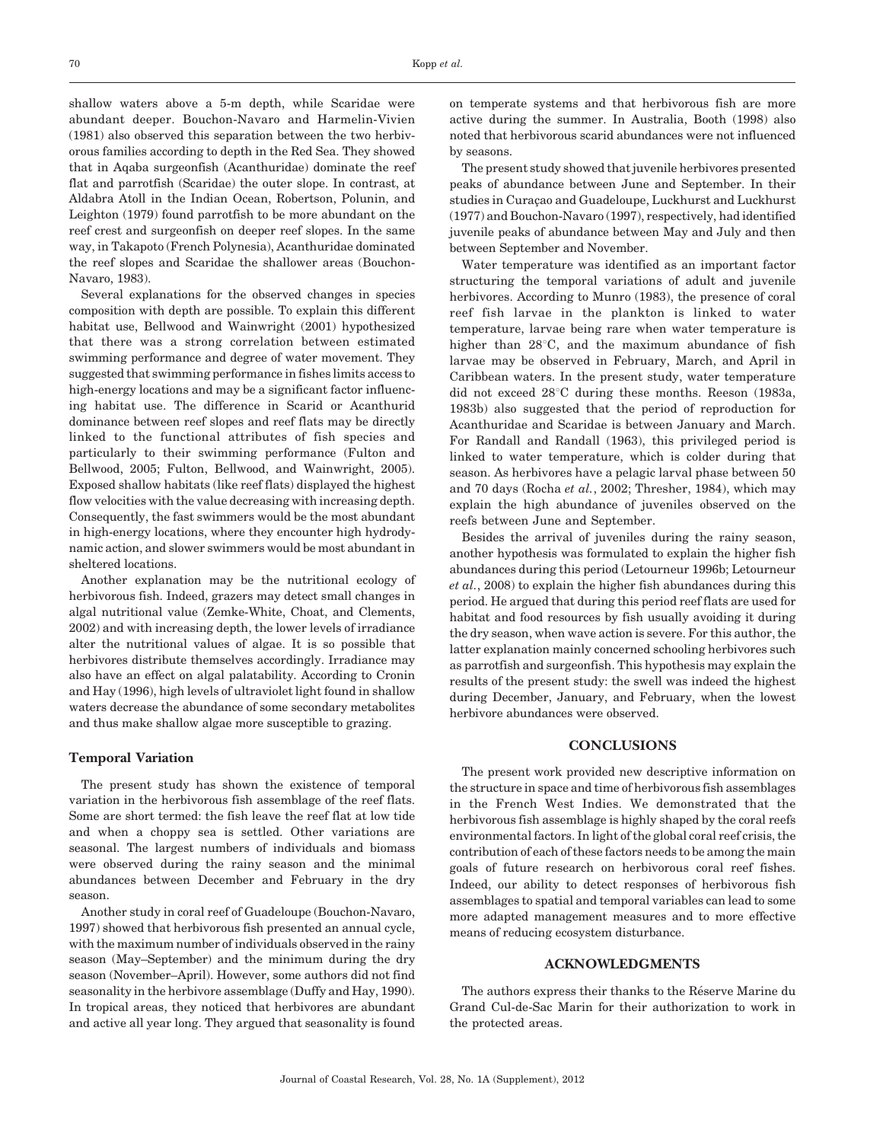shallow waters above a 5-m depth, while Scaridae were abundant deeper. Bouchon-Navaro and Harmelin-Vivien (1981) also observed this separation between the two herbivorous families according to depth in the Red Sea. They showed that in Aqaba surgeonfish (Acanthuridae) dominate the reef flat and parrotfish (Scaridae) the outer slope. In contrast, at Aldabra Atoll in the Indian Ocean, Robertson, Polunin, and Leighton (1979) found parrotfish to be more abundant on the reef crest and surgeonfish on deeper reef slopes. In the same way, in Takapoto (French Polynesia), Acanthuridae dominated the reef slopes and Scaridae the shallower areas (Bouchon-Navaro, 1983).

Several explanations for the observed changes in species composition with depth are possible. To explain this different habitat use, Bellwood and Wainwright (2001) hypothesized that there was a strong correlation between estimated swimming performance and degree of water movement. They suggested that swimming performance in fishes limits access to high-energy locations and may be a significant factor influencing habitat use. The difference in Scarid or Acanthurid dominance between reef slopes and reef flats may be directly linked to the functional attributes of fish species and particularly to their swimming performance (Fulton and Bellwood, 2005; Fulton, Bellwood, and Wainwright, 2005). Exposed shallow habitats (like reef flats) displayed the highest flow velocities with the value decreasing with increasing depth. Consequently, the fast swimmers would be the most abundant in high-energy locations, where they encounter high hydrodynamic action, and slower swimmers would be most abundant in sheltered locations.

Another explanation may be the nutritional ecology of herbivorous fish. Indeed, grazers may detect small changes in algal nutritional value (Zemke-White, Choat, and Clements, 2002) and with increasing depth, the lower levels of irradiance alter the nutritional values of algae. It is so possible that herbivores distribute themselves accordingly. Irradiance may also have an effect on algal palatability. According to Cronin and Hay (1996), high levels of ultraviolet light found in shallow waters decrease the abundance of some secondary metabolites and thus make shallow algae more susceptible to grazing.

#### Temporal Variation

The present study has shown the existence of temporal variation in the herbivorous fish assemblage of the reef flats. Some are short termed: the fish leave the reef flat at low tide and when a choppy sea is settled. Other variations are seasonal. The largest numbers of individuals and biomass were observed during the rainy season and the minimal abundances between December and February in the dry season.

Another study in coral reef of Guadeloupe (Bouchon-Navaro, 1997) showed that herbivorous fish presented an annual cycle, with the maximum number of individuals observed in the rainy season (May–September) and the minimum during the dry season (November–April). However, some authors did not find seasonality in the herbivore assemblage (Duffy and Hay, 1990). In tropical areas, they noticed that herbivores are abundant and active all year long. They argued that seasonality is found

on temperate systems and that herbivorous fish are more active during the summer. In Australia, Booth (1998) also noted that herbivorous scarid abundances were not influenced by seasons.

The present study showed that juvenile herbivores presented peaks of abundance between June and September. In their studies in Curação and Guadeloupe, Luckhurst and Luckhurst (1977) and Bouchon-Navaro (1997), respectively, had identified juvenile peaks of abundance between May and July and then between September and November.

Water temperature was identified as an important factor structuring the temporal variations of adult and juvenile herbivores. According to Munro (1983), the presence of coral reef fish larvae in the plankton is linked to water temperature, larvae being rare when water temperature is higher than  $28^{\circ}$ C, and the maximum abundance of fish larvae may be observed in February, March, and April in Caribbean waters. In the present study, water temperature did not exceed  $28^{\circ}$ C during these months. Reeson (1983a, 1983b) also suggested that the period of reproduction for Acanthuridae and Scaridae is between January and March. For Randall and Randall (1963), this privileged period is linked to water temperature, which is colder during that season. As herbivores have a pelagic larval phase between 50 and 70 days (Rocha et al., 2002; Thresher, 1984), which may explain the high abundance of juveniles observed on the reefs between June and September.

Besides the arrival of juveniles during the rainy season, another hypothesis was formulated to explain the higher fish abundances during this period (Letourneur 1996b; Letourneur et al., 2008) to explain the higher fish abundances during this period. He argued that during this period reef flats are used for habitat and food resources by fish usually avoiding it during the dry season, when wave action is severe. For this author, the latter explanation mainly concerned schooling herbivores such as parrotfish and surgeonfish. This hypothesis may explain the results of the present study: the swell was indeed the highest during December, January, and February, when the lowest herbivore abundances were observed.

# **CONCLUSIONS**

The present work provided new descriptive information on the structure in space and time of herbivorous fish assemblages in the French West Indies. We demonstrated that the herbivorous fish assemblage is highly shaped by the coral reefs environmental factors. In light of the global coral reef crisis, the contribution of each of these factors needs to be among the main goals of future research on herbivorous coral reef fishes. Indeed, our ability to detect responses of herbivorous fish assemblages to spatial and temporal variables can lead to some more adapted management measures and to more effective means of reducing ecosystem disturbance.

#### ACKNOWLEDGMENTS

The authors express their thanks to the Réserve Marine du Grand Cul-de-Sac Marin for their authorization to work in the protected areas.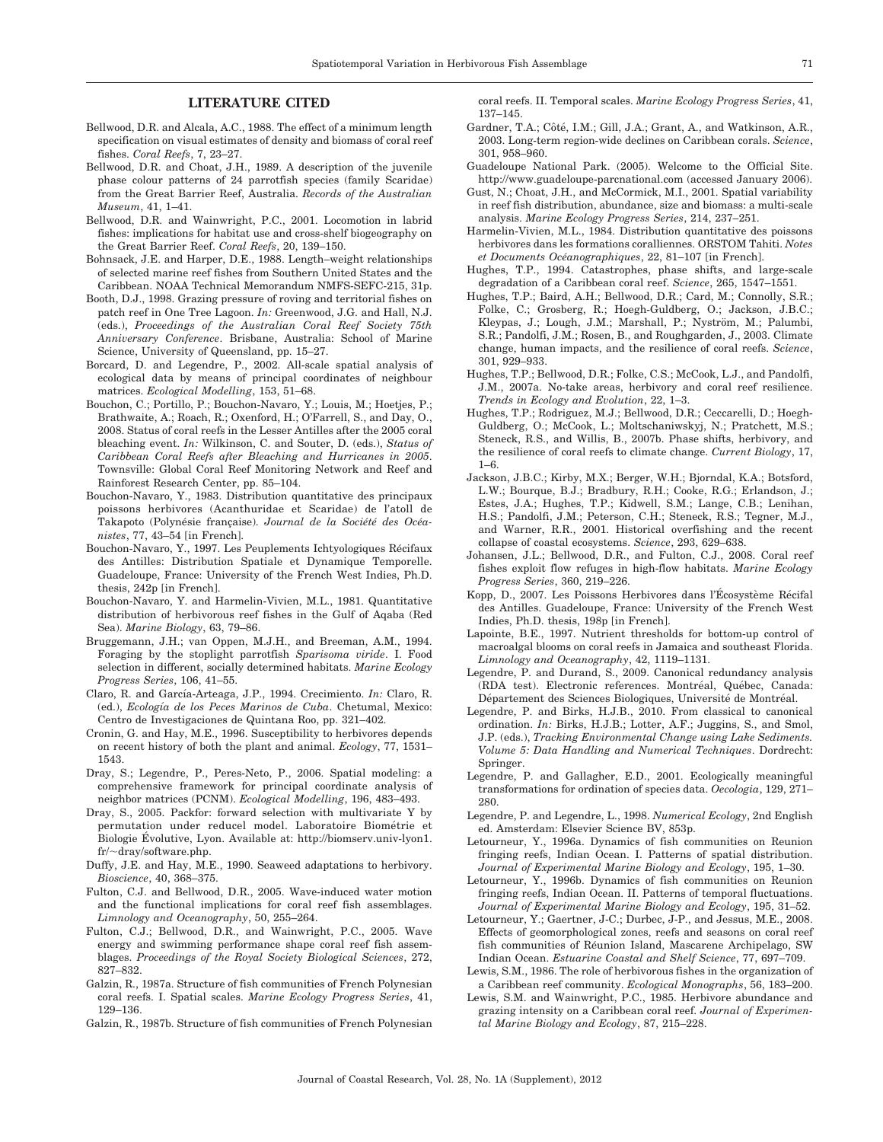## LITERATURE CITED

- Bellwood, D.R. and Alcala, A.C., 1988. The effect of a minimum length specification on visual estimates of density and biomass of coral reef fishes. Coral Reefs, 7, 23–27.
- Bellwood, D.R. and Choat, J.H., 1989. A description of the juvenile phase colour patterns of 24 parrotfish species (family Scaridae) from the Great Barrier Reef, Australia. Records of the Australian Museum, 41, 1–41.
- Bellwood, D.R. and Wainwright, P.C., 2001. Locomotion in labrid fishes: implications for habitat use and cross-shelf biogeography on the Great Barrier Reef. Coral Reefs, 20, 139–150.
- Bohnsack, J.E. and Harper, D.E., 1988. Length–weight relationships of selected marine reef fishes from Southern United States and the Caribbean. NOAA Technical Memorandum NMFS-SEFC-215, 31p.
- Booth, D.J., 1998. Grazing pressure of roving and territorial fishes on patch reef in One Tree Lagoon. In: Greenwood, J.G. and Hall, N.J. (eds.), Proceedings of the Australian Coral Reef Society 75th Anniversary Conference. Brisbane, Australia: School of Marine Science, University of Queensland, pp. 15–27.
- Borcard, D. and Legendre, P., 2002. All-scale spatial analysis of ecological data by means of principal coordinates of neighbour matrices. Ecological Modelling, 153, 51–68.
- Bouchon, C.; Portillo, P.; Bouchon-Navaro, Y.; Louis, M.; Hoetjes, P.; Brathwaite, A.; Roach, R.; Oxenford, H.; O'Farrell, S., and Day, O., 2008. Status of coral reefs in the Lesser Antilles after the 2005 coral bleaching event. In: Wilkinson, C. and Souter, D. (eds.), Status of Caribbean Coral Reefs after Bleaching and Hurricanes in 2005. Townsville: Global Coral Reef Monitoring Network and Reef and Rainforest Research Center, pp. 85–104.
- Bouchon-Navaro, Y., 1983. Distribution quantitative des principaux poissons herbivores (Acanthuridae et Scaridae) de l'atoll de Takapoto (Polynésie française). Journal de la Société des Océanistes, 77, 43–54 [in French].
- Bouchon-Navaro, Y., 1997. Les Peuplements Ichtyologiques Récifaux des Antilles: Distribution Spatiale et Dynamique Temporelle. Guadeloupe, France: University of the French West Indies, Ph.D. thesis, 242p [in French].
- Bouchon-Navaro, Y. and Harmelin-Vivien, M.L., 1981. Quantitative distribution of herbivorous reef fishes in the Gulf of Aqaba (Red Sea). Marine Biology, 63, 79–86.
- Bruggemann, J.H.; van Oppen, M.J.H., and Breeman, A.M., 1994. Foraging by the stoplight parrotfish Sparisoma viride. I. Food selection in different, socially determined habitats. Marine Ecology Progress Series, 106, 41–55.
- Claro, R. and García-Arteaga, J.P., 1994. Crecimiento. In: Claro, R. (ed.), Ecología de los Peces Marinos de Cuba. Chetumal, Mexico: Centro de Investigaciones de Quintana Roo, pp. 321–402.
- Cronin, G. and Hay, M.E., 1996. Susceptibility to herbivores depends on recent history of both the plant and animal. Ecology, 77, 1531– 1543.
- Dray, S.; Legendre, P., Peres-Neto, P., 2006. Spatial modeling: a comprehensive framework for principal coordinate analysis of neighbor matrices (PCNM). Ecological Modelling, 196, 483–493.
- Dray, S., 2005. Packfor: forward selection with multivariate Y by permutation under reducel model. Laboratoire Biométrie et Biologie Evolutive, Lyon. Available at: http://biomserv.univ-lyon1.  $fr/\sim$ dray/software.php.
- Duffy, J.E. and Hay, M.E., 1990. Seaweed adaptations to herbivory. Bioscience, 40, 368–375.
- Fulton, C.J. and Bellwood, D.R., 2005. Wave-induced water motion and the functional implications for coral reef fish assemblages. Limnology and Oceanography, 50, 255–264.
- Fulton, C.J.; Bellwood, D.R., and Wainwright, P.C., 2005. Wave energy and swimming performance shape coral reef fish assemblages. Proceedings of the Royal Society Biological Sciences, 272, 827–832.
- Galzin, R., 1987a. Structure of fish communities of French Polynesian coral reefs. I. Spatial scales. Marine Ecology Progress Series, 41, 129–136.
- Galzin, R., 1987b. Structure of fish communities of French Polynesian

coral reefs. II. Temporal scales. Marine Ecology Progress Series, 41, 137–145.

- Gardner, T.A.; Côté, I.M.; Gill, J.A.; Grant, A., and Watkinson, A.R., 2003. Long-term region-wide declines on Caribbean corals. Science, 301, 958–960.
- Guadeloupe National Park. (2005). Welcome to the Official Site. http://www.guadeloupe-parcnational.com (accessed January 2006).
- Gust, N.; Choat, J.H., and McCormick, M.I., 2001. Spatial variability in reef fish distribution, abundance, size and biomass: a multi-scale analysis. Marine Ecology Progress Series, 214, 237–251.
- Harmelin-Vivien, M.L., 1984. Distribution quantitative des poissons herbivores dans les formations coralliennes. ORSTOM Tahiti. Notes et Documents Océanographiques, 22, 81-107 [in French].
- Hughes, T.P., 1994. Catastrophes, phase shifts, and large-scale degradation of a Caribbean coral reef. Science, 265, 1547–1551.
- Hughes, T.P.; Baird, A.H.; Bellwood, D.R.; Card, M.; Connolly, S.R.; Folke, C.; Grosberg, R.; Hoegh-Guldberg, O.; Jackson, J.B.C.; Kleypas, J.; Lough, J.M.; Marshall, P.; Nyström, M.; Palumbi, S.R.; Pandolfi, J.M.; Rosen, B., and Roughgarden, J., 2003. Climate change, human impacts, and the resilience of coral reefs. Science, 301, 929–933.
- Hughes, T.P.; Bellwood, D.R.; Folke, C.S.; McCook, L.J., and Pandolfi, J.M., 2007a. No-take areas, herbivory and coral reef resilience. Trends in Ecology and Evolution, 22, 1–3.
- Hughes, T.P.; Rodriguez, M.J.; Bellwood, D.R.; Ceccarelli, D.; Hoegh-Guldberg, O.; McCook, L.; Moltschaniwskyj, N.; Pratchett, M.S.; Steneck, R.S., and Willis, B., 2007b. Phase shifts, herbivory, and the resilience of coral reefs to climate change. Current Biology, 17, 1–6.
- Jackson, J.B.C.; Kirby, M.X.; Berger, W.H.; Bjorndal, K.A.; Botsford, L.W.; Bourque, B.J.; Bradbury, R.H.; Cooke, R.G.; Erlandson, J.; Estes, J.A.; Hughes, T.P.; Kidwell, S.M.; Lange, C.B.; Lenihan, H.S.; Pandolfi, J.M.; Peterson, C.H.; Steneck, R.S.; Tegner, M.J., and Warner, R.R., 2001. Historical overfishing and the recent collapse of coastal ecosystems. Science, 293, 629–638.
- Johansen, J.L.; Bellwood, D.R., and Fulton, C.J., 2008. Coral reef fishes exploit flow refuges in high-flow habitats. Marine Ecology Progress Series, 360, 219–226.
- Kopp, D., 2007. Les Poissons Herbivores dans l'Écosystème Récifal des Antilles. Guadeloupe, France: University of the French West Indies, Ph.D. thesis, 198p [in French].
- Lapointe, B.E., 1997. Nutrient thresholds for bottom-up control of macroalgal blooms on coral reefs in Jamaica and southeast Florida. Limnology and Oceanography, 42, 1119–1131.
- Legendre, P. and Durand, S., 2009. Canonical redundancy analysis (RDA test). Electronic references. Montréal, Québec, Canada: Département des Sciences Biologiques, Université de Montréal.
- Legendre, P. and Birks, H.J.B., 2010. From classical to canonical ordination. In: Birks, H.J.B.; Lotter, A.F.; Juggins, S., and Smol, J.P. (eds.), Tracking Environmental Change using Lake Sediments. Volume 5: Data Handling and Numerical Techniques. Dordrecht: Springer.
- Legendre, P. and Gallagher, E.D., 2001. Ecologically meaningful transformations for ordination of species data. Oecologia, 129, 271– 280.
- Legendre, P. and Legendre, L., 1998. Numerical Ecology, 2nd English ed. Amsterdam: Elsevier Science BV, 853p.
- Letourneur, Y., 1996a. Dynamics of fish communities on Reunion fringing reefs, Indian Ocean. I. Patterns of spatial distribution. Journal of Experimental Marine Biology and Ecology, 195, 1–30.
- Letourneur, Y., 1996b. Dynamics of fish communities on Reunion fringing reefs, Indian Ocean. II. Patterns of temporal fluctuations. Journal of Experimental Marine Biology and Ecology, 195, 31–52.
- Letourneur, Y.; Gaertner, J-C.; Durbec, J-P., and Jessus, M.E., 2008. Effects of geomorphological zones, reefs and seasons on coral reef fish communities of Réunion Island, Mascarene Archipelago, SW Indian Ocean. Estuarine Coastal and Shelf Science, 77, 697–709.
- Lewis, S.M., 1986. The role of herbivorous fishes in the organization of a Caribbean reef community. Ecological Monographs, 56, 183–200.
- Lewis, S.M. and Wainwright, P.C., 1985. Herbivore abundance and grazing intensity on a Caribbean coral reef. Journal of Experimental Marine Biology and Ecology, 87, 215–228.